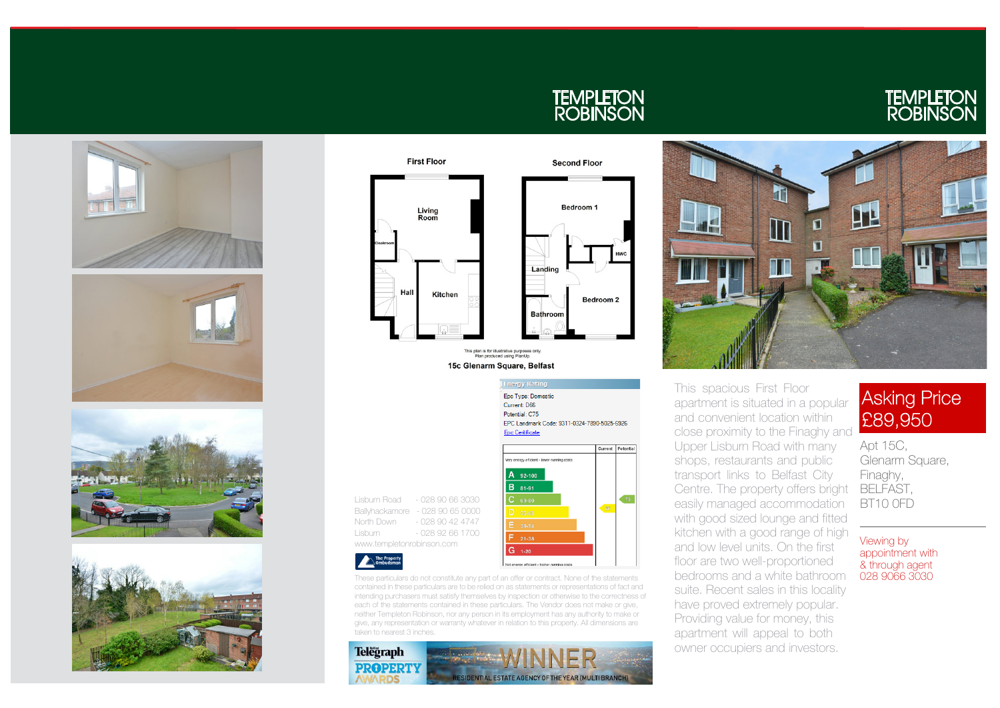









**Energy Rating** Epc Type: Domestic Current: D66 Potential: C75 EPC Landmark Code: 9311-0324-7890-5025-6926 **Epc Ceritificate** Current Potential Very energy efficient - lower running costs  $A_{92-100}$  $B$  81-91 Lisburn Road - 028 90 66 3030  $C$  69-80 Ballyhackamore - 028 90 65 0000 North Down - 028 90 42 4747 Lisburn - 028 92 66 1700  $G_{1-20}$ Not energy efficient - higher running cost

**TEMPLETON<br>ROBINSON** 

apartment is situated in a popular close proximity to the Finaghy and Upper Lisburn Road with many Centre. The property offers bright BELFAST, easily managed accommodation with good sized lounge and fitted kitchen with a good range of high and low level units. On the first bedrooms and a white bathroom suite. Recent sales in this locality have proved extremely popular.

### **Asking Price** £89,950

This spacious First Floor and convenient location within shops, restaurants and public transport links to Belfast City floor are two well-proportioned Providing value for money, this apartment will appeal to both owner occupiers and investors.

# **TEMPLETON<br>ROBINSON**



These particulars do not constitute any part of an offer or contract. None of the statements contained in these particulars are to be relied on as statements or representations of fact and intending purchasers must satisfy themselves by inspection or otherwise to the correctness of each of the statements contained in these particulars. The Vendor does not make or give, neither Templeton Robinson, nor any person in its employment has any authority to make or give, any representation or warranty whatever in relation to this property. All dimensions are taken to nearest 3 inches.

Apt 15C, Glenarm Square, Finaghy, BT10 0FD

Viewing by appointment with & through agent 028 9066 3030

www.templetonrobinson.com

The Property<br>
Ombudsman